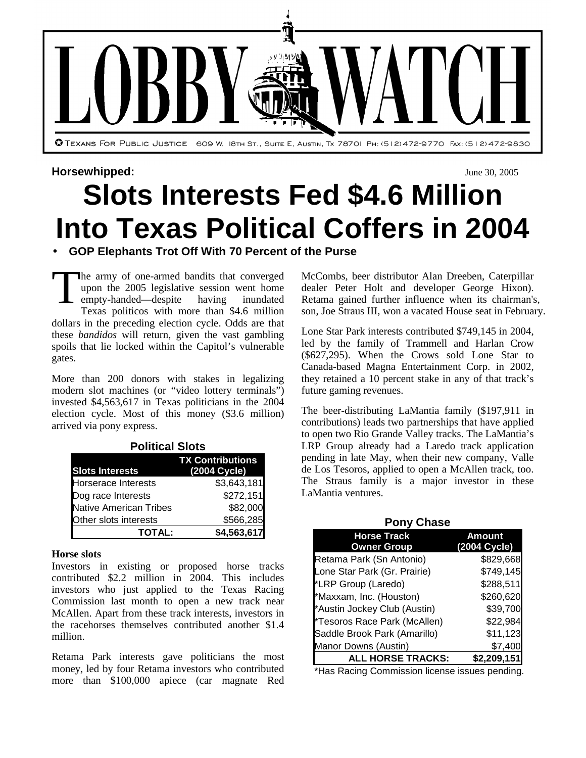

#### **Horsewhipped:** June 30, 2005

# **Slots Interests Fed \$4.6 Million Into Texas Political Coffers in 2004**

## • **GOP Elephants Trot Off With 70 Percent of the Purse**

The army of one-armed bandits that converged upon the 2005 legislative session went home<br>empty-handed—despite having inundated empty-handed—despite having inundated Texas politicos with more than \$4.6 million dollars in the preceding election cycle. Odds are that these *bandidos* will return, given the vast gambling spoils that lie locked within the Capitol's vulnerable gates. T

More than 200 donors with stakes in legalizing modern slot machines (or "video lottery terminals") invested \$4,563,617 in Texas politicians in the 2004 election cycle. Most of this money (\$3.6 million) arrived via pony express.

| דיטונוט וויט                  |                         |  |  |  |  |
|-------------------------------|-------------------------|--|--|--|--|
|                               | <b>TX Contributions</b> |  |  |  |  |
| <b>Slots Interests</b>        | (2004 Cycle)            |  |  |  |  |
| <b>Horserace Interests</b>    | \$3,643,181             |  |  |  |  |
| Dog race Interests            | \$272,151               |  |  |  |  |
| <b>Native American Tribes</b> | \$82,000                |  |  |  |  |
| Other slots interests         | \$566,285               |  |  |  |  |
| <b>TOTAL:</b>                 | \$4,563,617             |  |  |  |  |

#### **Political Slots**

#### **Horse slots**

Investors in existing or proposed horse tracks contributed \$2.2 million in 2004. This includes investors who just applied to the Texas Racing Commission last month to open a new track near McAllen. Apart from these track interests, investors in the racehorses themselves contributed another \$1.4 million.

Retama Park interests gave politicians the most money, led by four Retama investors who contributed more than \$100,000 apiece (car magnate Red McCombs, beer distributor Alan Dreeben, Caterpillar dealer Peter Holt and developer George Hixon). Retama gained further influence when its chairman's, son, Joe Straus III, won a vacated House seat in February.

Lone Star Park interests contributed \$749,145 in 2004, led by the family of Trammell and Harlan Crow (\$627,295). When the Crows sold Lone Star to Canada-based Magna Entertainment Corp. in 2002, they retained a 10 percent stake in any of that track's future gaming revenues.

The beer-distributing LaMantia family (\$197,911 in contributions) leads two partnerships that have applied to open two Rio Grande Valley tracks. The LaMantia's LRP Group already had a Laredo track application pending in late May, when their new company, Valle de Los Tesoros, applied to open a McAllen track, too. The Straus family is a major investor in these LaMantia ventures.

| <b>Pony Chase</b>                        |                              |  |  |  |
|------------------------------------------|------------------------------|--|--|--|
| <b>Horse Track</b><br><b>Owner Group</b> | <b>Amount</b><br>2004 Cycle) |  |  |  |
| Retama Park (Sn Antonio)                 | \$829,668                    |  |  |  |
| Lone Star Park (Gr. Prairie)             | \$749,145                    |  |  |  |
| *LRP Group (Laredo)                      | \$288,511                    |  |  |  |
| *Maxxam, Inc. (Houston)                  | \$260,620                    |  |  |  |
| *Austin Jockey Club (Austin)             | \$39,700                     |  |  |  |
| *Tesoros Race Park (McAllen)             | \$22,984                     |  |  |  |
| Saddle Brook Park (Amarillo)             | \$11,123                     |  |  |  |
| Manor Downs (Austin)                     | \$7,400                      |  |  |  |
| <b>ALL HORSE TRACKS:</b>                 | \$2,209,151                  |  |  |  |

\*Has Racing Commission license issues pending.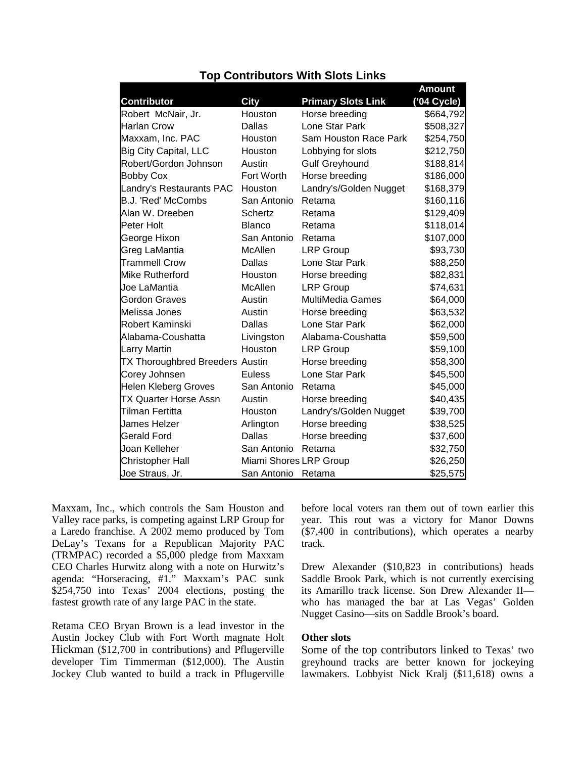|                                        |                        |                           | <b>Amount</b> |
|----------------------------------------|------------------------|---------------------------|---------------|
| <b>Contributor</b>                     | <b>City</b>            | <b>Primary Slots Link</b> | ('04 Cycle)   |
| Robert McNair, Jr.                     | Houston                | Horse breeding            | \$664,792     |
| <b>Harlan Crow</b>                     | Dallas                 | Lone Star Park            | \$508,327     |
| Maxxam, Inc. PAC                       | Houston                | Sam Houston Race Park     | \$254,750     |
| <b>Big City Capital, LLC</b>           | Houston                | Lobbying for slots        | \$212,750     |
| Robert/Gordon Johnson                  | Austin                 | <b>Gulf Greyhound</b>     | \$188,814     |
| <b>Bobby Cox</b>                       | <b>Fort Worth</b>      | Horse breeding            | \$186,000     |
| Landry's Restaurants PAC               | Houston                | Landry's/Golden Nugget    | \$168,379     |
| B.J. 'Red' McCombs                     | San Antonio            | Retama                    | \$160,116     |
| Alan W. Dreeben                        | Schertz                | Retama                    | \$129,409     |
| Peter Holt                             | <b>Blanco</b>          | Retama                    | \$118,014     |
| George Hixon                           | San Antonio            | Retama                    | \$107,000     |
| Greg LaMantia                          | <b>McAllen</b>         | <b>LRP Group</b>          | \$93,730      |
| <b>Trammell Crow</b>                   | Dallas                 | Lone Star Park            | \$88,250      |
| <b>Mike Rutherford</b>                 | Houston                | Horse breeding            | \$82,831      |
| Joe LaMantia                           | McAllen                | <b>LRP Group</b>          | \$74,631      |
| <b>Gordon Graves</b>                   | Austin                 | <b>MultiMedia Games</b>   | \$64,000      |
| Melissa Jones                          | Austin                 | Horse breeding            | \$63,532      |
| <b>Robert Kaminski</b>                 | Dallas                 | Lone Star Park            | \$62,000      |
| Alabama-Coushatta                      | Livingston             | Alabama-Coushatta         | \$59,500      |
| <b>Larry Martin</b>                    | Houston                | <b>LRP Group</b>          | \$59,100      |
| <b>TX Thoroughbred Breeders Austin</b> |                        | Horse breeding            | \$58,300      |
| Corey Johnsen                          | <b>Euless</b>          | Lone Star Park            | \$45,500      |
| <b>Helen Kleberg Groves</b>            | San Antonio            | Retama                    | \$45,000      |
| <b>TX Quarter Horse Assn</b>           | Austin                 | Horse breeding            | \$40,435      |
| Tilman Fertitta                        | Houston                | Landry's/Golden Nugget    | \$39,700      |
| <b>James Helzer</b>                    | Arlington              | Horse breeding            | \$38,525      |
| <b>Gerald Ford</b>                     | Dallas                 | Horse breeding            | \$37,600      |
| Joan Kelleher                          | San Antonio            | Retama                    | \$32,750      |
| <b>Christopher Hall</b>                | Miami Shores LRP Group |                           | \$26,250      |
| Joe Straus, Jr.                        | San Antonio            | Retama                    | \$25,575      |

### **Top Contributors With Slots Links**

Maxxam, Inc., which controls the Sam Houston and Valley race parks, is competing against LRP Group for a Laredo franchise. A 2002 memo produced by Tom DeLay's Texans for a Republican Majority PAC (TRMPAC) recorded a \$5,000 pledge from Maxxam CEO Charles Hurwitz along with a note on Hurwitz's agenda: "Horseracing, #1." Maxxam's PAC sunk \$254,750 into Texas' 2004 elections, posting the fastest growth rate of any large PAC in the state.

Retama CEO Bryan Brown is a lead investor in the Austin Jockey Club with Fort Worth magnate Holt Hickman (\$12,700 in contributions) and Pflugerville developer Tim Timmerman (\$12,000). The Austin Jockey Club wanted to build a track in Pflugerville before local voters ran them out of town earlier this year. This rout was a victory for Manor Downs (\$7,400 in contributions), which operates a nearby track.

Drew Alexander (\$10,823 in contributions) heads Saddle Brook Park, which is not currently exercising its Amarillo track license. Son Drew Alexander II who has managed the bar at Las Vegas' Golden Nugget Casino—sits on Saddle Brook's board.

#### **Other slots**

Some of the top contributors linked to Texas' two greyhound tracks are better known for jockeying lawmakers. Lobbyist Nick Kralj (\$11,618) owns a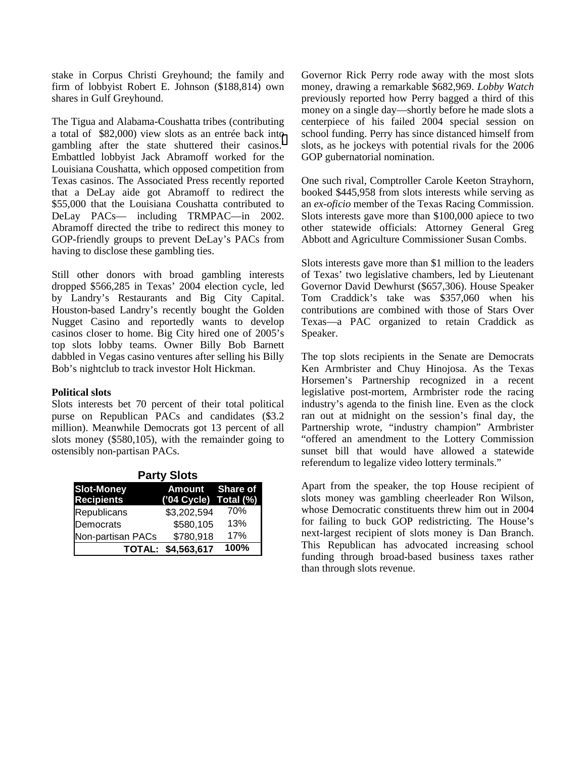stake in Corpus Christi Greyhound; the family and firm of lobbyist Robert E. Johnson (\$188,814) own shares in Gulf Greyhound.

The Tigua and Alabama-Coushatta tribes (contributing a total of \$82,000) view slots as an entrée back into gambling after the state shuttered their casinos.<sup>[1](#page-3-0)</sup> Embattled lobbyist Jack Abramoff worked for the Louisiana Coushatta, which opposed competition from Texas casinos. The Associated Press recently reported that a DeLay aide got Abramoff to redirect the \$55,000 that the Louisiana Coushatta contributed to DeLay PACs— including TRMPAC—in 2002. Abramoff directed the tribe to redirect this money to GOP-friendly groups to prevent DeLay's PACs from having to disclose these gambling ties.

Still other donors with broad gambling interests dropped \$566,285 in Texas' 2004 election cycle, led by Landry's Restaurants and Big City Capital. Houston-based Landry's recently bought the Golden Nugget Casino and reportedly wants to develop casinos closer to home. Big City hired one of 2005's top slots lobby teams. Owner Billy Bob Barnett dabbled in Vegas casino ventures after selling his Billy Bob's nightclub to track investor Holt Hickman.

#### **Political slots**

Slots interests bet 70 percent of their total political purse on Republican PACs and candidates (\$3.2 million). Meanwhile Democrats got 13 percent of all slots money (\$580,105), with the remainder going to ostensibly non-partisan PACs.

| <b>Party Slots</b> |                       |      |  |  |
|--------------------|-----------------------|------|--|--|
| <b>Slot-Money</b>  | Amount Share of       |      |  |  |
| <b>Recipients</b>  | ('04 Cycle) Total (%) |      |  |  |
| Republicans        | \$3,202,594           | 70%  |  |  |
| Democrats          | \$580,105             | 13%  |  |  |
| Non-partisan PACs  | \$780,918             | 17%  |  |  |
|                    | TOTAL: \$4,563,617    | 100% |  |  |

Governor Rick Perry rode away with the most slots money, drawing a remarkable \$682,969. *Lobby Watch* previously reported how Perry bagged a third of this money on a single day—shortly before he made slots a centerpiece of his failed 2004 special session on school funding. Perry has since distanced himself from slots, as he jockeys with potential rivals for the 2006 GOP gubernatorial nomination.

One such rival, Comptroller Carole Keeton Strayhorn, booked \$445,958 from slots interests while serving as an *ex-oficio* member of the Texas Racing Commission. Slots interests gave more than \$100,000 apiece to two other statewide officials: Attorney General Greg Abbott and Agriculture Commissioner Susan Combs.

Slots interests gave more than \$1 million to the leaders of Texas' two legislative chambers, led by Lieutenant Governor David Dewhurst (\$657,306). House Speaker Tom Craddick's take was \$357,060 when his contributions are combined with those of Stars Over Texas—a PAC organized to retain Craddick as Speaker.

The top slots recipients in the Senate are Democrats Ken Armbrister and Chuy Hinojosa. As the Texas Horsemen's Partnership recognized in a recent legislative post-mortem, Armbrister rode the racing industry's agenda to the finish line. Even as the clock ran out at midnight on the session's final day, the Partnership wrote, "industry champion" Armbrister "offered an amendment to the Lottery Commission sunset bill that would have allowed a statewide referendum to legalize video lottery terminals."

Apart from the speaker, the top House recipient of slots money was gambling cheerleader Ron Wilson, whose Democratic constituents threw him out in 2004 for failing to buck GOP redistricting. The House's next-largest recipient of slots money is Dan Branch. This Republican has advocated increasing school funding through broad-based business taxes rather than through slots revenue.